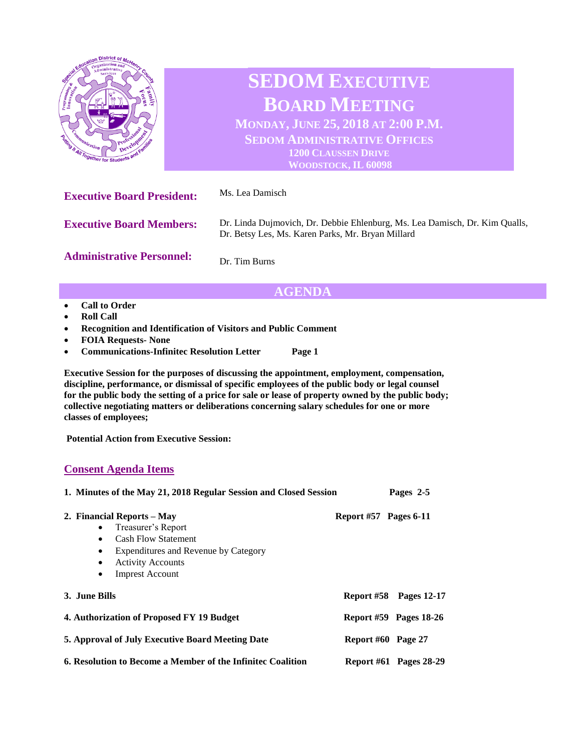

**Administrative Personnel:** Dr. Tim Burns

## **AGENDA**

- **Call to Order**
- **Roll Call**
- **Recognition and Identification of Visitors and Public Comment**
- **FOIA Requests- None**
- **Communications-Infinitec Resolution Letter Page 1**

**Executive Session for the purposes of discussing the appointment, employment, compensation, discipline, performance, or dismissal of specific employees of the public body or legal counsel for the public body the setting of a price for sale or lease of property owned by the public body; collective negotiating matters or deliberations concerning salary schedules for one or more classes of employees;**

**Potential Action from Executive Session:**

## **Consent Agenda Items**

| 1. Minutes of the May 21, 2018 Regular Session and Closed Session                                                                                                                                                                             |                         | Pages 2-5                     |
|-----------------------------------------------------------------------------------------------------------------------------------------------------------------------------------------------------------------------------------------------|-------------------------|-------------------------------|
| 2. Financial Reports – May<br>Treasurer's Report<br>$\bullet$<br><b>Cash Flow Statement</b><br>$\bullet$<br>Expenditures and Revenue by Category<br>$\bullet$<br><b>Activity Accounts</b><br>$\bullet$<br><b>Imprest Account</b><br>$\bullet$ | Report $#57$ Pages 6-11 |                               |
| 3. June Bills                                                                                                                                                                                                                                 |                         | <b>Report #58</b> Pages 12-17 |
| 4. Authorization of Proposed FY 19 Budget                                                                                                                                                                                                     |                         | Report #59 Pages 18-26        |
| 5. Approval of July Executive Board Meeting Date                                                                                                                                                                                              | Report #60 Page 27      |                               |
| 6. Resolution to Become a Member of the Infinitec Coalition                                                                                                                                                                                   |                         | <b>Report #61 Pages 28-29</b> |